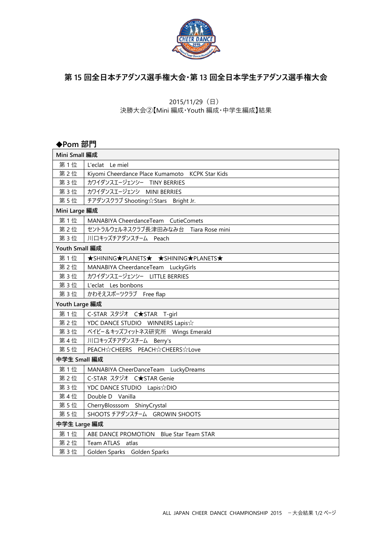

## **第 15 回全日本チアダンス選手権大会・第 13 回全日本学生チアダンス選手権大会**

2015/11/29(日)

決勝大会②【Mini 編成・Youth 編成・中学生編成】結果

### **◆Pom 部門**

| Mini Small 編成  |                                                 |  |
|----------------|-------------------------------------------------|--|
| 第1位            | L'eclat Le miel                                 |  |
| 第2位            | Kiyomi Cheerdance Place Kumamoto KCPK Star Kids |  |
| 第3位            | カワイダンスエージェンシー TINY BERRIES                      |  |
| 第3位            | カワイダンスエージェンシ MINI BERRIES                       |  |
| 第5位            | チアダンスクラブ Shooting☆Stars Bright Jr.              |  |
| Mini Large 編成  |                                                 |  |
| 第1位            | MANABIYA CheerdanceTeam CutieComets             |  |
| 第2位            | セントラルウェルネスクラブ長津田みなみ台 Tiara Rose mini            |  |
| 第3位            | 川口キッズチアダンスチーム Peach                             |  |
| Youth Small 編成 |                                                 |  |
| 第1位            | <b>★SHINING★PLANETS★ ★SHINING★PLANETS★</b>      |  |
| 第2位            | MANABIYA CheerdanceTeam LuckyGirls              |  |
| 第3位            | カワイダンスエージェンシー LITTLE BERRIES                    |  |
| 第3位            | L'eclat Les bonbons                             |  |
| 第3位            | かわそえスポーツクラブ Free flap                           |  |
| Youth Large 編成 |                                                 |  |
| 第1位            | C-STAR スタジオ C★STAR T-girl                       |  |
| 第2位            | YDC DANCE STUDIO WINNERS Lapis☆                 |  |
| 第3位            | ベイビー&キッズフィットネス研究所 Wings Emerald                 |  |
| 第4位            | 川口キッズチアダンスチーム Berry's                           |  |
| 第5位            | PEACH☆CHEERS PEACH☆CHEERS☆Love                  |  |
| 中学生 Small 編成   |                                                 |  |
| 第1位            | MANABIYA CheerDanceTeam LuckyDreams             |  |
| 第2位            | C-STAR スタジオ C★STAR Genie                        |  |
| 第3位            | YDC DANCE STUDIO Lapis☆DIO                      |  |
| 第4位            | Double D Vanilla                                |  |
| 第5位            | CherryBlosssom ShinyCrystal                     |  |
| 第5位            | SHOOTS チアダンスチーム GROWIN SHOOTS                   |  |
| 中学生 Large 編成   |                                                 |  |
| 第1位            | ABE DANCE PROMOTION Blue Star Team STAR         |  |
| 第2位            | Team ATLAS atlas                                |  |
| 第3位            | Golden Sparks Golden Sparks                     |  |